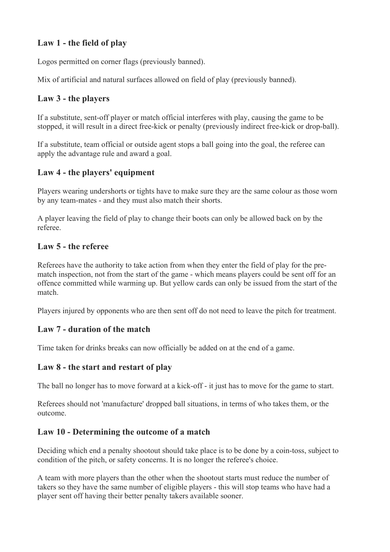# **Law 1 - the field of play**

Logos permitted on corner flags (previously banned).

Mix of artificial and natural surfaces allowed on field of play (previously banned).

## **Law 3 - the players**

If a substitute, sent-off player or match official interferes with play, causing the game to be stopped, it will result in a direct free-kick or penalty (previously indirect free-kick or drop-ball).

If a substitute, team official or outside agent stops a ball going into the goal, the referee can apply the advantage rule and award a goal.

### **Law 4 - the players' equipment**

Players wearing undershorts or tights have to make sure they are the same colour as those worn by any team-mates - and they must also match their shorts.

A player leaving the field of play to change their boots can only be allowed back on by the referee.

### **Law 5 - the referee**

Referees have the authority to take action from when they enter the field of play for the prematch inspection, not from the start of the game - which means players could be sent off for an offence committed while warming up. But yellow cards can only be issued from the start of the match.

Players injured by opponents who are then sent off do not need to leave the pitch for treatment.

### **Law 7 - duration of the match**

Time taken for drinks breaks can now officially be added on at the end of a game.

### **Law 8 - the start and restart of play**

The ball no longer has to move forward at a kick-off - it just has to move for the game to start.

Referees should not 'manufacture' dropped ball situations, in terms of who takes them, or the outcome.

### **Law 10 - Determining the outcome of a match**

Deciding which end a penalty shootout should take place is to be done by a coin-toss, subject to condition of the pitch, or safety concerns. It is no longer the referee's choice.

A team with more players than the other when the shootout starts must reduce the number of takers so they have the same number of eligible players - this will stop teams who have had a player sent off having their better penalty takers available sooner.